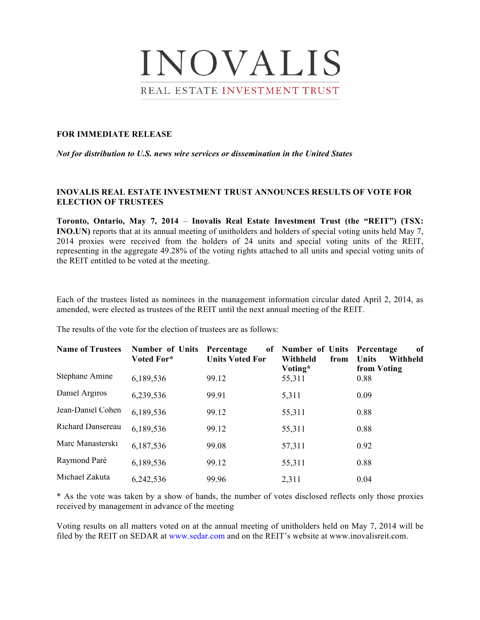## INOVALIS REAL ESTATE INVESTMENT TRUST

## **FOR IMMEDIATE RELEASE**

*Not for distribution to U.S. news wire services or dissemination in the United States*

## **INOVALIS REAL ESTATE INVESTMENT TRUST ANNOUNCES RESULTS OF VOTE FOR ELECTION OF TRUSTEES**

**Toronto, Ontario, May 7, 2014** – **Inovalis Real Estate Investment Trust (the "REIT") (TSX: INO.UN)** reports that at its annual meeting of unitholders and holders of special voting units held May 7, 2014 proxies were received from the holders of 24 units and special voting units of the REIT, representing in the aggregate 49.28% of the voting rights attached to all units and special voting units of the REIT entitled to be voted at the meeting.

Each of the trustees listed as nominees in the management information circular dated April 2, 2014, as amended, were elected as trustees of the REIT until the next annual meeting of the REIT.

The results of the vote for the election of trustees are as follows:

| <b>Name of Trustees</b>  | <b>Number of Units</b><br>Voted For* | Percentage<br>оf<br><b>Units Voted For</b> | Number of Units<br>Withheld<br>from<br>Voting* | of<br>Percentage<br>Units<br>Withheld<br>from Voting |
|--------------------------|--------------------------------------|--------------------------------------------|------------------------------------------------|------------------------------------------------------|
| Stéphane Amine           | 6,189,536                            | 99.12                                      | 55,311                                         | 0.88                                                 |
| Daniel Argiros           | 6,239,536                            | 99.91                                      | 5,311                                          | 0.09                                                 |
| Jean-Daniel Cohen        | 6,189,536                            | 99.12                                      | 55,311                                         | 0.88                                                 |
| <b>Richard Dansereau</b> | 6,189,536                            | 99.12                                      | 55,311                                         | 0.88                                                 |
| Marc Manasterski         | 6,187,536                            | 99.08                                      | 57,311                                         | 0.92                                                 |
| Raymond Paré             | 6,189,536                            | 99.12                                      | 55,311                                         | 0.88                                                 |
| Michael Zakuta           | 6,242,536                            | 99.96                                      | 2,311                                          | 0.04                                                 |

\* As the vote was taken by a show of hands, the number of votes disclosed reflects only those proxies received by management in advance of the meeting

Voting results on all matters voted on at the annual meeting of unitholders held on May 7, 2014 will be filed by the REIT on SEDAR at www.sedar.com and on the REIT's website at www.inovalisreit.com.